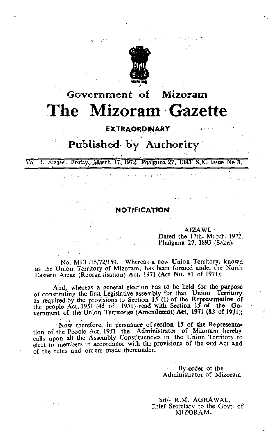

# Government **of Mizoram** The Mizoram Gazette

## **EXTRAORDINARY** ,

# Published by Authority

Kind of Bay

VoL 1 Aizawl Friday March 17 1972:'Phalguna 27, 1893' S.E.' Issue **No** 8.

 $\frac{1}{\sqrt{2}}\int_{0}^{1}\frac{1}{\sqrt{2}}\left( \frac{1}{\sqrt{2}}\right) \left( \frac{1}{\sqrt{2}}\right) \left( \frac{1}{\sqrt{2}}\right) \left( \frac{1}{\sqrt{2}}\right) \left( \frac{1}{\sqrt{2}}\right) \left( \frac{1}{\sqrt{2}}\right) \left( \frac{1}{\sqrt{2}}\right) \left( \frac{1}{\sqrt{2}}\right) \left( \frac{1}{\sqrt{2}}\right) \left( \frac{1}{\sqrt{2}}\right) \left( \frac{1}{\sqrt{2}}\right) \left( \frac{1}{\sqrt{2}}\right) \$ وتصريح والمتواري والمستعين والمرتب المحوض الهاكات والأراد

# **NOTIFICATION**

AlZAWL Dated the 17th. March, 1972. Phalguna 27, 1893 (Saka).

No. MEL/15/72/159. Whereas a new Union Territory, known **as the Union Territory of** Mizoram, **has been formed under the North** Eastern Areas (Reorganisation) Act, 1971 (Act No. 81 of 1971);

And, whereas a general election has to be held for the purpose of constituting the first Legislative assembly for that Union Territory as required by the provisions to Section 15 (1) of the Representation of the people Act, 1951 (43 of 1951) read with Section 15 of the Government of the Union Territories (Amendment) Act, 1971 (83 of 1971);

Now therefore, in persuance of section 15 of the Representation of the People Act, 1951 the Administrator of Mizoram hereby **calls upon all the Assembly Constituencies in the Union Territory to elect to members in accordance with the provisions of the said Act and** of the rules and orders made thereunder.

> By order of the **Administrator of Mizoram.**

Sd/· R.M. AGRAWAL, Chief Secretary to the Govt. of MIZORAM.